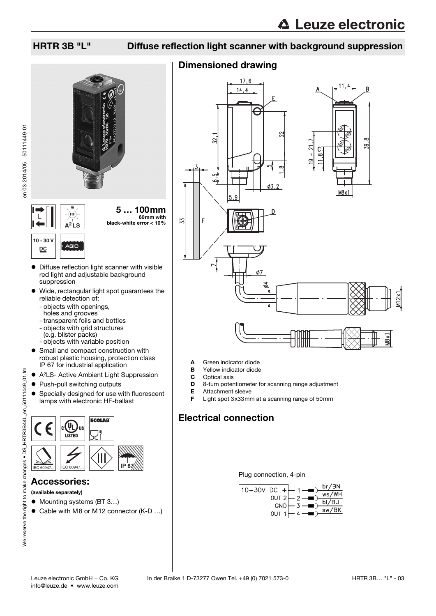### HRTR 3B "L" Diffuse reflection light scanner with background suppression

### Dimensioned drawing



- A Green indicator diode
- **B** Yellow indicator diode
- **C** Optical axis<br>**D** 8-turn poter
- 8-turn potentiometer for scanning range adjustment
- E Attachment sleeve
- Light spot 3x33mm at a scanning range of 50mm

## Electrical connection

Plug connection, 4-pin



**L**

**10 - 30 V DC**

- Diffuse reflection light scanner with visible red light and adjustable background suppression
- Wide, rectangular light spot guarantees the reliable detection of:
	- objects with openings, holes and grooves

**A<sup>2</sup> LS**

- transparent foils and bottles
- objects with grid structures
- (e.g. blister packs)
- objects with variable position
- **•** Small and compact construction with robust plastic housing, protection class IP 67 for industrial application
- A2LS- Active Ambient Light Suppression
- Push-pull switching outputs
- **•** Specially designed for use with fluorescent lamps with electronic HF-ballast



### Accessories:

- (available separately)
- Mounting systems (BT 3...)
- Cable with M8 or M12 connector (K-D ...)
- info@leuze.de www.leuze.com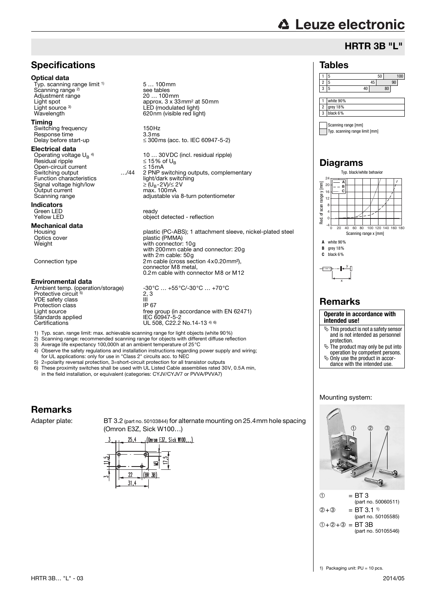# **△ Leuze electronic**

### HRTR 3B "L"

#### Tables

#### 1 5 50 100 2 | 5 | 45 | 90 3 5 40 80 1 white 90% 2 grey 18% 3 black 6%

Scanning range [mm] Typ. scanning range limit [mm]

### Diagrams



### Remarks

**Operate in accordance with intended use!**

- $\%$  This product is not a safety sensor and is not intended as personnel protection.
- $\ddot{\phi}$  The product may only be put into operation by competent persons.
- $\ddot{\mathbb{Q}}$  Only use the product in accor-
- dance with the intended use.

### Mounting system:



(part no. 50060511)  $(2) + (3) = BT 3.11$ (part no. 50105585)  $① +② +③ = BT 3B$ (part no. 50105546)

### **Specifications**

#### Optical data

Typ. scanning range limit <sup>1)</sup> Scanning range<sup>2)</sup> Adjustment range<br>Light spot Light source 3)<br>Wavelength

#### Timing

Switching frequency 150Hz<br>
Besponse time 3.3ms Response time<br>Delay before start-up

#### Electrical data

Operating voltage  $U_B$ <sup>4)</sup><br>Besidual ripple Open-circuit current ≤ 15mA Switching output<br>
Switching output<br>
Function characteristics<br>
Signal voltage high/low<br>  $\geq (U_B - 2V)/\leq 2V$ <br>
Output current<br>  $max. 100mA$ Signal voltage high/low Output current<br>Scanning range

Indicators Green LED ready<br>
Yellow LED ready<br>
object

## **Mechanical data**<br>Housing

#### Environmental data

Ambient temp. (operation/storage) -30°C … +55°C/-30°C … +70°C<br>Protective circuit <sup>5)</sup> 2, 3 VDE safety class III<br>Protection class III P67 Protection class<br>Light source Standards applied<br>Certifications

5 … 100mm see tables<br>20 ... 100mm approx.  $3 \times 33$  mm<sup>2</sup> at 50 mm LED (modulated light) 620nm (visible red light)

 $\leq$  300ms (acc. to. IEC 60947-5-2)

Operating voltage U<sub>B</sub> <sup>4)</sup>  $10... 30 \text{VDC}$  (incl. residual ripple)<br>Residual ripple  $\leq 15\%$  of U<sub>B</sub> 2 PNP switching outputs, complementary<br>light/dark switching adjustable via 8-turn potentiometer

object detected - reflection

Housing plastic (PC-ABS); 1 attachment sleeve, nickel-plated steel Optics cover plastic (PMMA) Weight Weight Weight with connector: 10g with 200mm cable and connector: 20g with 2m cable: 50g Connection type 2m cable (cross section 4x0.20mm²), connector M8 metal, 0.2m cable with connector M8 or M12

> $2, 3$ free group (in accordance with EN 62471)<br>IEC 60947-5-2 UL 508, C22.2 No.14-13  $4)$  6)

- 1) Typ. scan. range limit: max. achievable scanning range for light objects (white 90%)
- 2) Scanning range: recommended scanning range for objects with different diffuse reflection<br>3) Average life expectancy 100.000h at an ambient temperature of  $25^{\circ}$ C
- Average life expectancy 100,000h at an ambient temperature of 25°C 4) Observe the safety regulations and installation instructions regarding power supply and wiring; for UL applications: only for use in "Class 2" circuits acc. to NEC
- 
- 5) 2=polarity reversal protection, 3=short-circuit protection for all transistor outputs 6) These proximity switches shall be used with UL Listed Cable assemblies rated 30V, 0.5A min, in the field installation, or equivalent (categories: CYJV/CYJV7 or PVVA/PVVA7)

## Remarks

Adapter plate: BT 3.2 (part no. 50103844) for alternate mounting on 25.4mm hole spacing (Omron E3Z, Sick W100…)

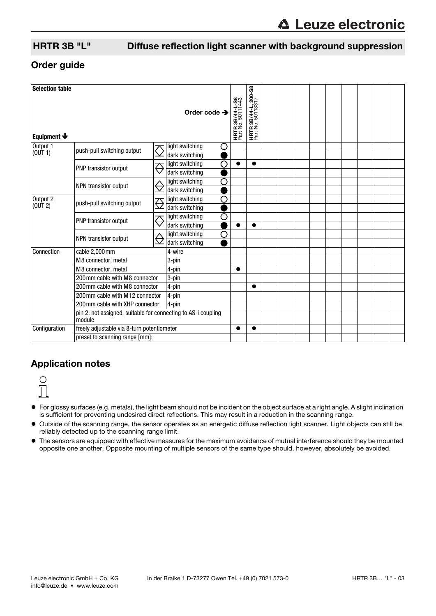## HRTR 3B "L" Diffuse reflection light scanner with background suppression

### Order guide

| <b>Selection table</b><br>Order code $\rightarrow$<br>Equipment $\blacklozenge$ |                                                                         |                              |                      |                                             | <b>HRTR 3B/44-L, 200-S8</b><br>Part No. 50113317 |  |  |  |  |
|---------------------------------------------------------------------------------|-------------------------------------------------------------------------|------------------------------|----------------------|---------------------------------------------|--------------------------------------------------|--|--|--|--|
| Output 1<br>(0UT1)                                                              | push-pull switching output                                              | <del>⇔</del>                 | light switching<br>О | <b>HRTR 3B/44-L-S8</b><br>Part No. 50111443 |                                                  |  |  |  |  |
|                                                                                 |                                                                         |                              | dark switching       |                                             |                                                  |  |  |  |  |
|                                                                                 | PNP transistor output                                                   | $\overline{\ominus}$         | O<br>light switching | $\bullet$                                   |                                                  |  |  |  |  |
|                                                                                 |                                                                         |                              | dark switching       |                                             |                                                  |  |  |  |  |
|                                                                                 | NPN transistor output                                                   | ⇔                            | O<br>light switching |                                             |                                                  |  |  |  |  |
|                                                                                 |                                                                         |                              | dark switching       |                                             |                                                  |  |  |  |  |
| Output 2<br>(0 <sup>U</sup> T <sub>2</sub> )                                    | push-pull switching output                                              | $\overline{\mathbb{C}}$      | light switching<br>О |                                             |                                                  |  |  |  |  |
|                                                                                 |                                                                         |                              | dark switching       |                                             |                                                  |  |  |  |  |
|                                                                                 | PNP transistor output                                                   | $\overline{\leftrightarrow}$ | O<br>light switching |                                             |                                                  |  |  |  |  |
|                                                                                 |                                                                         |                              | dark switching       |                                             |                                                  |  |  |  |  |
|                                                                                 | NPN transistor output                                                   |                              | O<br>light switching |                                             |                                                  |  |  |  |  |
|                                                                                 |                                                                         |                              | dark switching       |                                             |                                                  |  |  |  |  |
| Connection                                                                      | cable 2,000mm                                                           |                              | 4-wire               |                                             |                                                  |  |  |  |  |
|                                                                                 | M8 connector, metal                                                     |                              | 3-pin                |                                             |                                                  |  |  |  |  |
|                                                                                 | M8 connector, metal                                                     |                              | 4-pin                | $\bullet$                                   |                                                  |  |  |  |  |
|                                                                                 | 200 mm cable with M8 connector                                          |                              | 3-pin                |                                             |                                                  |  |  |  |  |
|                                                                                 | 200 mm cable with M8 connector                                          |                              | 4-pin                |                                             | ●                                                |  |  |  |  |
|                                                                                 | 200 mm cable with M12 connector                                         |                              | 4-pin                |                                             |                                                  |  |  |  |  |
|                                                                                 | 200 mm cable with XHP connector                                         |                              | 4-pin                |                                             |                                                  |  |  |  |  |
|                                                                                 | pin 2: not assigned, suitable for connecting to AS-i coupling<br>module |                              |                      |                                             |                                                  |  |  |  |  |
| Configuration                                                                   | freely adjustable via 8-turn potentiometer                              |                              |                      |                                             |                                                  |  |  |  |  |
|                                                                                 | preset to scanning range [mm]:                                          |                              |                      |                                             |                                                  |  |  |  |  |

### Application notes



- For glossy surfaces (e.g. metals), the light beam should not be incident on the object surface at a right angle. A slight inclination is sufficient for preventing undesired direct reflections. This may result in a reduction in the scanning range.
- Outside of the scanning range, the sensor operates as an energetic diffuse reflection light scanner. Light objects can still be reliably detected up to the scanning range limit.
- The sensors are equipped with effective measures for the maximum avoidance of mutual interference should they be mounted opposite one another. Opposite mounting of multiple sensors of the same type should, however, absolutely be avoided.